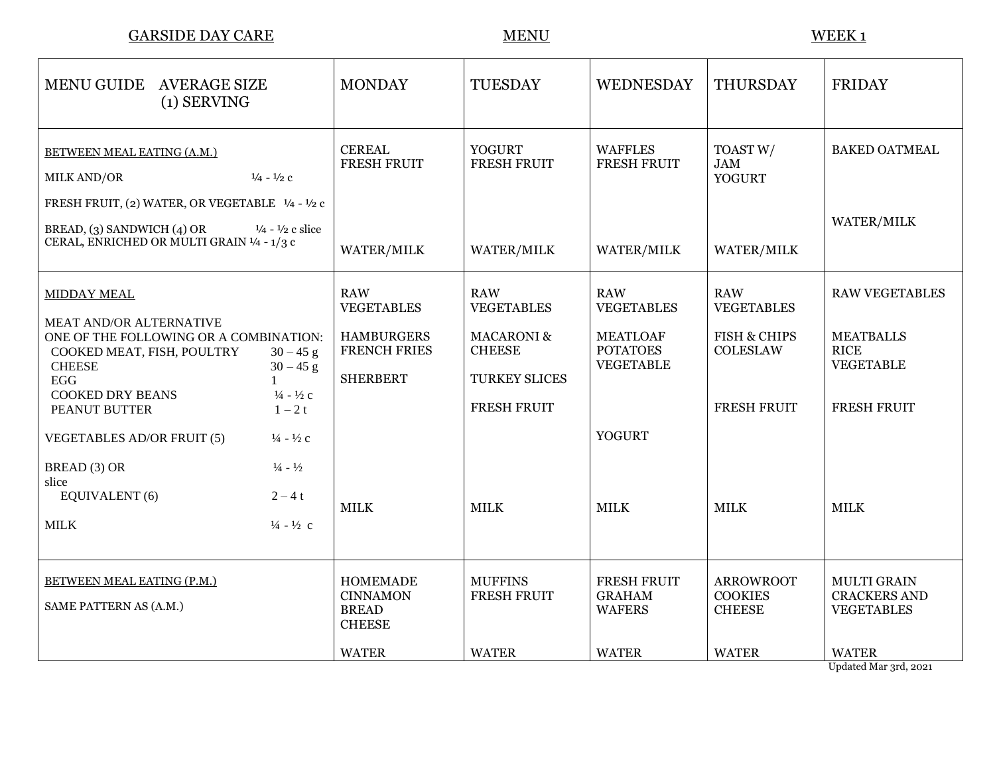$\underline{\text{GARSIDE DAY CARE}} \qquad \qquad \underline{\text{MENU}} \qquad \qquad \underline{\text{MENU}}$ 

| MENU GUIDE AVERAGE SIZE<br>$(1)$ SERVING                                                                                                                     | <b>MONDAY</b>                                                       | <b>TUESDAY</b>                                          | <b>WEDNESDAY</b>                                       | THURSDAY                                            | <b>FRIDAY</b>                                                  |
|--------------------------------------------------------------------------------------------------------------------------------------------------------------|---------------------------------------------------------------------|---------------------------------------------------------|--------------------------------------------------------|-----------------------------------------------------|----------------------------------------------------------------|
| <b>BETWEEN MEAL EATING (A.M.)</b><br>$\frac{1}{4}$ - $\frac{1}{2}$ c<br>MILK AND/OR<br>FRESH FRUIT, (2) WATER, OR VEGETABLE 1/4 - 1/2 c                      | <b>CEREAL</b><br><b>FRESH FRUIT</b>                                 | <b>YOGURT</b><br>FRESH FRUIT                            | <b>WAFFLES</b><br><b>FRESH FRUIT</b>                   | TOAST W/<br><b>JAM</b><br><b>YOGURT</b>             | <b>BAKED OATMEAL</b>                                           |
| BREAD, (3) SANDWICH (4) OR<br>$\frac{1}{4}$ - $\frac{1}{2}$ c slice<br>CERAL, ENRICHED OR MULTI GRAIN 1/4 - 1/3 c                                            | WATER/MILK                                                          | WATER/MILK                                              | <b>WATER/MILK</b>                                      | WATER/MILK                                          | WATER/MILK                                                     |
| <b>MIDDAY MEAL</b>                                                                                                                                           | <b>RAW</b><br><b>VEGETABLES</b>                                     | <b>RAW</b><br><b>VEGETABLES</b>                         | <b>RAW</b><br><b>VEGETABLES</b>                        | <b>RAW</b><br><b>VEGETABLES</b>                     | <b>RAW VEGETABLES</b>                                          |
| <b>MEAT AND/OR ALTERNATIVE</b><br>ONE OF THE FOLLOWING OR A COMBINATION:<br>COOKED MEAT, FISH, POULTRY<br>$30 - 45$ g<br><b>CHEESE</b><br>$30 - 45$ g<br>EGG | <b>HAMBURGERS</b><br><b>FRENCH FRIES</b><br><b>SHERBERT</b>         | <b>MACARONI &amp;</b><br><b>CHEESE</b><br>TURKEY SLICES | <b>MEATLOAF</b><br><b>POTATOES</b><br><b>VEGETABLE</b> | <b>FISH &amp; CHIPS</b><br><b>COLESLAW</b>          | <b>MEATBALLS</b><br><b>RICE</b><br><b>VEGETABLE</b>            |
| <b>COOKED DRY BEANS</b><br>$\frac{1}{4}$ - $\frac{1}{2}$ c<br>PEANUT BUTTER<br>$1-2t$                                                                        |                                                                     | FRESH FRUIT                                             |                                                        | FRESH FRUIT                                         | <b>FRESH FRUIT</b>                                             |
| <b>VEGETABLES AD/OR FRUIT (5)</b><br>$\frac{1}{4}$ - $\frac{1}{2}$ c                                                                                         |                                                                     |                                                         | <b>YOGURT</b>                                          |                                                     |                                                                |
| BREAD (3) OR<br>$\frac{1}{4}$ - $\frac{1}{2}$<br>slice                                                                                                       |                                                                     |                                                         |                                                        |                                                     |                                                                |
| EQUIVALENT (6)<br>$2 - 4t$                                                                                                                                   | <b>MILK</b>                                                         | <b>MILK</b>                                             | <b>MILK</b>                                            | <b>MILK</b>                                         | <b>MILK</b>                                                    |
| <b>MILK</b><br>$\frac{1}{4} - \frac{1}{2}$ c                                                                                                                 |                                                                     |                                                         |                                                        |                                                     |                                                                |
| <b>BETWEEN MEAL EATING (P.M.)</b><br>SAME PATTERN AS (A.M.)                                                                                                  | <b>HOMEMADE</b><br><b>CINNAMON</b><br><b>BREAD</b><br><b>CHEESE</b> | <b>MUFFINS</b><br>FRESH FRUIT                           | <b>FRESH FRUIT</b><br><b>GRAHAM</b><br><b>WAFERS</b>   | <b>ARROWROOT</b><br><b>COOKIES</b><br><b>CHEESE</b> | <b>MULTI GRAIN</b><br><b>CRACKERS AND</b><br><b>VEGETABLES</b> |
|                                                                                                                                                              | <b>WATER</b>                                                        | <b>WATER</b>                                            | <b>WATER</b>                                           | <b>WATER</b>                                        | <b>WATER</b>                                                   |

Updated Mar 3rd, 2021